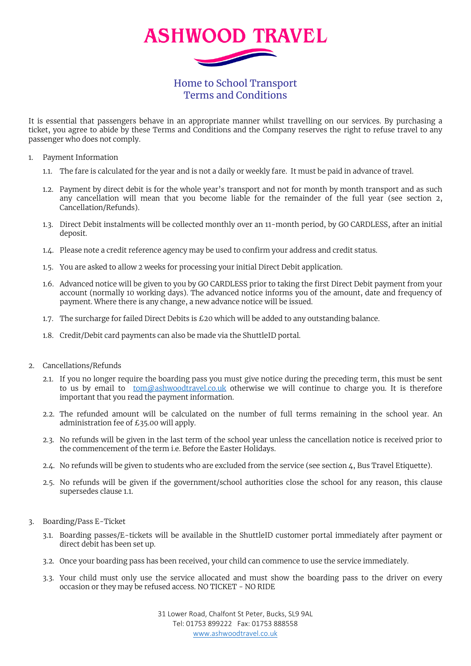

Home to School Transport Terms and Conditions

It is essential that passengers behave in an appropriate manner whilst travelling on our services. By purchasing a ticket, you agree to abide by these Terms and Conditions and the Company reserves the right to refuse travel to any passenger who does not comply.

- 1. Payment Information
	- 1.1. The fare is calculated for the year and is not a daily or weekly fare. It must be paid in advance of travel.
	- 1.2. Payment by direct debit is for the whole year's transport and not for month by month transport and as such any cancellation will mean that you become liable for the remainder of the full year (see section 2, Cancellation/Refunds).
	- 1.3. Direct Debit instalments will be collected monthly over an 11-month period, by GO CARDLESS, after an initial deposit.
	- 1.4. Please note a credit reference agency may be used to confirm your address and credit status.
	- 1.5. You are asked to allow 2 weeks for processing your initial Direct Debit application.
	- 1.6. Advanced notice will be given to you by GO CARDLESS prior to taking the first Direct Debit payment from your account (normally 10 working days). The advanced notice informs you of the amount, date and frequency of payment. Where there is any change, a new advance notice will be issued.
	- 1.7. The surcharge for failed Direct Debits is £20 which will be added to any outstanding balance.
	- 1.8. Credit/Debit card payments can also be made via the ShuttleID portal.
- 2. Cancellations/Refunds
	- 2.1. If you no longer require the boarding pass you must give notice during the preceding term, this must be sent to us by email to [tom@ashwoodtravel.co.uk](mailto:tom@ashwoodtravel.co.uk) otherwise we will continue to charge you. It is therefore important that you read the payment information.
	- 2.2. The refunded amount will be calculated on the number of full terms remaining in the school year. An administration fee of £35.00 will apply.
	- 2.3. No refunds will be given in the last term of the school year unless the cancellation notice is received prior to the commencement of the term i.e. Before the Easter Holidays.
	- 2.4. No refunds will be given to students who are excluded from the service (see section 4, Bus Travel Etiquette).
	- 2.5. No refunds will be given if the government/school authorities close the school for any reason, this clause supersedes clause 1.1.
- 3. Boarding/Pass E-Ticket
	- 3.1. Boarding passes/E-tickets will be available in the ShuttleID customer portal immediately after payment or direct debit has been set up.
	- 3.2. Once your boarding pass has been received, your child can commence to use the service immediately.
	- 3.3. Your child must only use the service allocated and must show the boarding pass to the driver on every occasion or they may be refused access. NO TICKET - NO RIDE